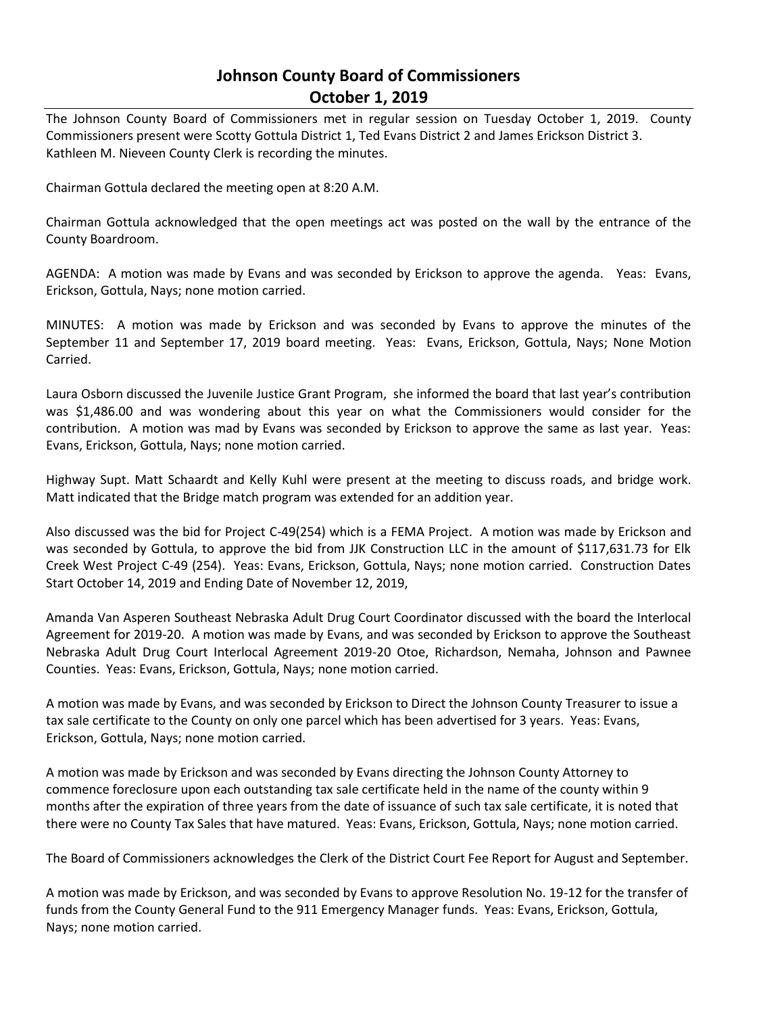## **Johnson County Board of Commissioners October 1, 2019**

The Johnson County Board of Commissioners met in regular session on Tuesday October 1, 2019. County Commissioners present were Scotty Gottula District 1, Ted Evans District 2 and James Erickson District 3. Kathleen M. Nieveen County Clerk is recording the minutes.

Chairman Gottula declared the meeting open at 8:20 A.M.

Chairman Gottula acknowledged that the open meetings act was posted on the wall by the entrance of the County Boardroom.

AGENDA: A motion was made by Evans and was seconded by Erickson to approve the agenda. Yeas: Evans, Erickson, Gottula, Nays; none motion carried.

MINUTES: A motion was made by Erickson and was seconded by Evans to approve the minutes of the September 11 and September 17, 2019 board meeting. Yeas: Evans, Erickson, Gottula, Nays; None Motion Carried.

Laura Osborn discussed the Juvenile Justice Grant Program, she informed the board that last year's contribution was \$1,486.00 and was wondering about this year on what the Commissioners would consider for the contribution. A motion was mad by Evans was seconded by Erickson to approve the same as last year. Yeas: Evans, Erickson, Gottula, Nays; none motion carried.

Highway Supt. Matt Schaardt and Kelly Kuhl were present at the meeting to discuss roads, and bridge work. Matt indicated that the Bridge match program was extended for an addition year.

Also discussed was the bid for Project C-49(254) which is a FEMA Project. A motion was made by Erickson and was seconded by Gottula, to approve the bid from JJK Construction LLC in the amount of \$117,631.73 for Elk Creek West Project C-49 (254). Yeas: Evans, Erickson, Gottula, Nays; none motion carried. Construction Dates Start October 14, 2019 and Ending Date of November 12, 2019,

Amanda Van Asperen Southeast Nebraska Adult Drug Court Coordinator discussed with the board the Interlocal Agreement for 2019-20. A motion was made by Evans, and was seconded by Erickson to approve the Southeast Nebraska Adult Drug Court Interlocal Agreement 2019-20 Otoe, Richardson, Nemaha, Johnson and Pawnee Counties. Yeas: Evans, Erickson, Gottula, Nays; none motion carried.

A motion was made by Evans, and was seconded by Erickson to Direct the Johnson County Treasurer to issue a tax sale certificate to the County on only one parcel which has been advertised for 3 years. Yeas: Evans, Erickson, Gottula, Nays; none motion carried.

A motion was made by Erickson and was seconded by Evans directing the Johnson County Attorney to commence foreclosure upon each outstanding tax sale certificate held in the name of the county within 9 months after the expiration of three years from the date of issuance of such tax sale certificate, it is noted that there were no County Tax Sales that have matured. Yeas: Evans, Erickson, Gottula, Nays; none motion carried.

The Board of Commissioners acknowledges the Clerk of the District Court Fee Report for August and September.

A motion was made by Erickson, and was seconded by Evans to approve Resolution No. 19-12 for the transfer of funds from the County General Fund to the 911 Emergency Manager funds. Yeas: Evans, Erickson, Gottula, Nays; none motion carried.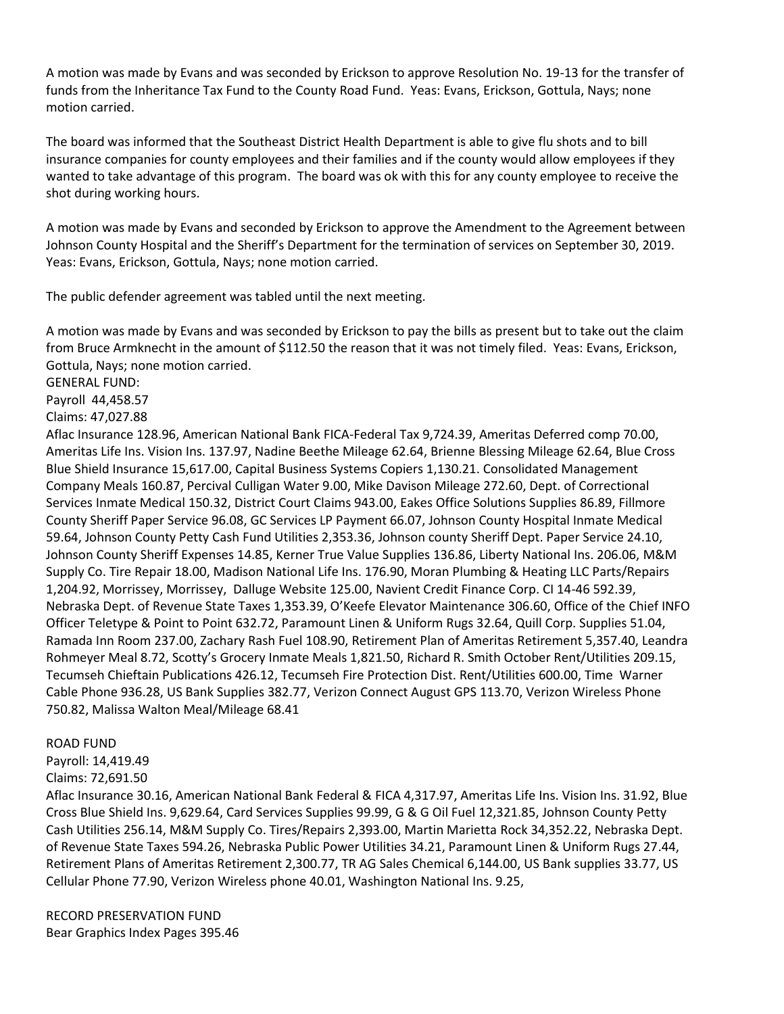A motion was made by Evans and was seconded by Erickson to approve Resolution No. 19-13 for the transfer of funds from the Inheritance Tax Fund to the County Road Fund. Yeas: Evans, Erickson, Gottula, Nays; none motion carried.

The board was informed that the Southeast District Health Department is able to give flu shots and to bill insurance companies for county employees and their families and if the county would allow employees if they wanted to take advantage of this program. The board was ok with this for any county employee to receive the shot during working hours.

A motion was made by Evans and seconded by Erickson to approve the Amendment to the Agreement between Johnson County Hospital and the Sheriff's Department for the termination of services on September 30, 2019. Yeas: Evans, Erickson, Gottula, Nays; none motion carried.

The public defender agreement was tabled until the next meeting.

A motion was made by Evans and was seconded by Erickson to pay the bills as present but to take out the claim from Bruce Armknecht in the amount of \$112.50 the reason that it was not timely filed. Yeas: Evans, Erickson, Gottula, Nays; none motion carried.

GENERAL FUND:

Payroll 44,458.57

Claims: 47,027.88

Aflac Insurance 128.96, American National Bank FICA-Federal Tax 9,724.39, Ameritas Deferred comp 70.00, Ameritas Life Ins. Vision Ins. 137.97, Nadine Beethe Mileage 62.64, Brienne Blessing Mileage 62.64, Blue Cross Blue Shield Insurance 15,617.00, Capital Business Systems Copiers 1,130.21. Consolidated Management Company Meals 160.87, Percival Culligan Water 9.00, Mike Davison Mileage 272.60, Dept. of Correctional Services Inmate Medical 150.32, District Court Claims 943.00, Eakes Office Solutions Supplies 86.89, Fillmore County Sheriff Paper Service 96.08, GC Services LP Payment 66.07, Johnson County Hospital Inmate Medical 59.64, Johnson County Petty Cash Fund Utilities 2,353.36, Johnson county Sheriff Dept. Paper Service 24.10, Johnson County Sheriff Expenses 14.85, Kerner True Value Supplies 136.86, Liberty National Ins. 206.06, M&M Supply Co. Tire Repair 18.00, Madison National Life Ins. 176.90, Moran Plumbing & Heating LLC Parts/Repairs 1,204.92, Morrissey, Morrissey, Dalluge Website 125.00, Navient Credit Finance Corp. CI 14-46 592.39, Nebraska Dept. of Revenue State Taxes 1,353.39, O'Keefe Elevator Maintenance 306.60, Office of the Chief INFO Officer Teletype & Point to Point 632.72, Paramount Linen & Uniform Rugs 32.64, Quill Corp. Supplies 51.04, Ramada Inn Room 237.00, Zachary Rash Fuel 108.90, Retirement Plan of Ameritas Retirement 5,357.40, Leandra Rohmeyer Meal 8.72, Scotty's Grocery Inmate Meals 1,821.50, Richard R. Smith October Rent/Utilities 209.15, Tecumseh Chieftain Publications 426.12, Tecumseh Fire Protection Dist. Rent/Utilities 600.00, Time Warner Cable Phone 936.28, US Bank Supplies 382.77, Verizon Connect August GPS 113.70, Verizon Wireless Phone 750.82, Malissa Walton Meal/Mileage 68.41

## ROAD FUND

Payroll: 14,419.49

Claims: 72,691.50

Aflac Insurance 30.16, American National Bank Federal & FICA 4,317.97, Ameritas Life Ins. Vision Ins. 31.92, Blue Cross Blue Shield Ins. 9,629.64, Card Services Supplies 99.99, G & G Oil Fuel 12,321.85, Johnson County Petty Cash Utilities 256.14, M&M Supply Co. Tires/Repairs 2,393.00, Martin Marietta Rock 34,352.22, Nebraska Dept. of Revenue State Taxes 594.26, Nebraska Public Power Utilities 34.21, Paramount Linen & Uniform Rugs 27.44, Retirement Plans of Ameritas Retirement 2,300.77, TR AG Sales Chemical 6,144.00, US Bank supplies 33.77, US Cellular Phone 77.90, Verizon Wireless phone 40.01, Washington National Ins. 9.25,

RECORD PRESERVATION FUND Bear Graphics Index Pages 395.46